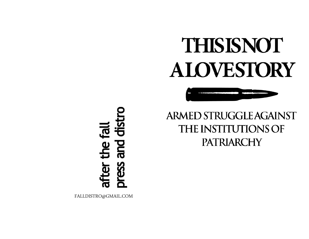# **THISISNOT ALOVESTORY**



### ARMED STRUGGLE AGAINST THE INSTITUTIONS OF **PATRIARCHY**

## fall<br>I distro the 1<br>and after ress

FALLDISTRO@GMAIL.COM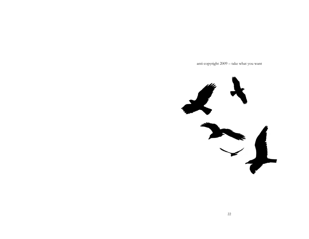anti-copyright 2009 – take what you want

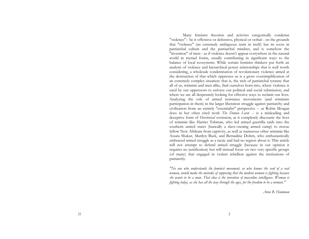Many feminist theorists and activists categorically condemn "violence"-- be it offensive or defensive, physical or verbal-- on the grounds that "violence" (an extremely ambiguous term in itself) has its roots in patriarchal culture and the patriarchal mindset, and is somehow the "invention" of men-- as if violence doesn't appear everywhere in the natural world in myriad forms, usually contributing in significant ways to the balance of local ecosystems. While certain feminist thinkers put forth an analysis of violence and hierarchical power relationships that is well worth considering, a wholesale condemnation of revolutionary violence aimed at the destruction of that which oppresses us is a gross oversimplification of an extremely complex situation: that is, the web of patriarchal tyranny that all of us, wimmin and men alike, find ourselves born into, where violence is used by our oppressors to enforce our political and social submission, and where we are all desperately looking for effective ways to reclaim our lives. Analyzing the role of armed resistance movements (and wimmins participation in them) in the larger liberation struggle against patriarchy and civilization from an entirely "essentialist" perspective -- as Robin Morgan does in her often cited work *The Demon Love*r -- is a misleading and deceptive form of *Herstorical revisionism*, as it completely discounts the lives of wimmin like Harriet Tubman, who led armed guerrilla raids into the southern united states (basically a slave-owning armed camp) to rescue fellow New Afrikans from captivity, as well as numerous other wimmin like Assata Shakur, Marilyn Buck, and Bernadine Dohrn, who enthusiastically embraced armed struggle as a tactic and had no regrets about it. This article will not attempt to defend armed struggle (because in our opinion it requires no justification) but will instead focus on two very specific groups (of many) that engaged in violent rebellion against the institutions of patriarchy.

*"No one who understands the feminist movement, or who knows the soul of a real woman, would make the mistake of supposing that the modern woman is fighting because she wants to be a man. That idea is the invention of masculine intelligence. Woman is fighting today, as she has all the way through the ages, for the freedom to be a woman."* 

*Anne B. Hamman*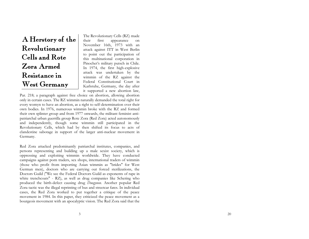A Herstory of the Revolutionary Cells and Rote Zora Armed Resistance in West Germany

The Revolutionary Cells (RZ) made their first appearance on November 16th, 1973 with an attack against ITT in West Berlin to point out the participation of this multinational corporation in Pinochet's military putsch in Chile. In 1974, the first high-explosive attack was undertaken by the wimmin of the RZ against the Federal Constitutional Court in Karlsruhe, Germany, the day after it supported a new abortion law,

Par. 218; a paragraph against free choice on abortion, allowing abortion only in certain cases. The RZ wimmin naturally demanded the total right for every womyn to have an abortion, as a right to self-determination over their own bodies. In 1976, numerous wimmin broke with the RZ and formed their own splinter group and from 1977 onwards, the militant feminist antipatriarchal urban guerrilla group Rote Zora (Red Zora) acted autonomously and independently, though some wimmin still participated in the Revolutionary Cells, which had by then shifted its focus to acts of clandestine sabotage in support of the larger anti-nuclear movement in Germany.

Red Zora attacked predominantly patriarchal institutes, companies, and persons representing and building up a male sexist society, which is oppressing and exploiting wimmin worldwide. They have conducted campaigns against porn traders, sex shops, international traders of wimmin (those who profit from importing Asian wimmin as "brides" for West German men), doctors who are carrying out forced sterilizations, the Doctors Guild ("We see the Federal Doctors Guild as exponents of rape in white trenchcoats" - RZ), as well as drug companies like Schering who produced the birth-defect causing drug *Duogynon*. Another popular Red Zora tactic was the illegal reprinting of bus and streetcar fares. In individual cases, the Red Zora worked to put together a critique of the peace movement in 1984. In this paper, they criticized the peace movement as a bourgeois movement with an apocalyptic vision. The Red Zora said that the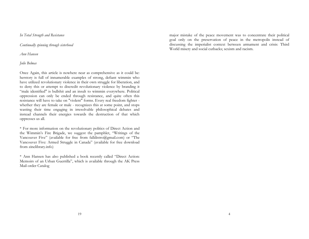*In Total Strength and Resistance*

*Continually spinning through sisterhood* 

*Ann Hansen* 

*Julie Belmas* 

Once Again, this article is nowhere near as comprehensive as it could be: herstory is full of innumerable examples of strong, defiant wimmin who have utilized revolutionary violence in their own struggle for liberation, and to deny this or attempt to discredit revolutionary violence by branding it "male identified" is bullshit and an insult to wimmin everywhere. Political oppression can only be ended through resistance, and quite often this resistance will have to take on "violent" forms. Every real freedom fighter whether they are female or male - recognizes this at some point, and stops wasting their time engaging in irresolvable philosophical debates and instead channels their energies towards the destruction of that which oppresses us all.

\* For more information on the revolutionary politics of Direct Action and the Wimmin's Fire Brigade, we suggest the pamphlet, "Writings of the Vancouver Five" (available for free from falldistro@gmail.com) or "The Vancouver Five: Armed Struggle in Canada" (available for free download from zinelibrary.info)

\* Ann Hansen has also published a book recently called "Direct Action: Memoirs of an Urban Guerrilla", which is available through the AK Press Mail-order Catalog

major mistake of the peace movement was to concentrate their political goal only on the preservation of peace in the metropolis instead of discussing the imperialist context between armament and crisis: Third World misery and social cutbacks; sexism and racism.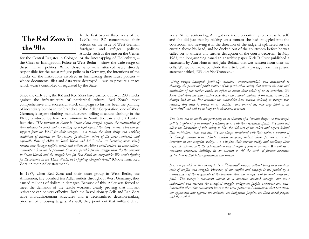### The Red Zora in the 90's

In the first two or three years of the 1990's, the RZ concentrated their actions on the issue of West German foreigner and refugee policies. Attacks such as the one on the Center

for the Central Register in Cologne, or the kneecapping of Hollenburg - the Chief of Immigration Police in West Berlin -- show the wide range of these militant politics. While those who were attacked were directly responsible for the racist refugee policies in Germany, the intentions of the attacks on the institutions involved in formulating these racist policies - whose documents, files and data were destroyed -- was to procure a space which wasn't controlled or regulated by the State.

Since the early 70's, the RZ and Red Zora have carried out over 200 attacks against the infrastructure of patriarchal culture. Red Zora's most comprehensive and successful attack campaign so far has been the planting of incendiary bombs in ten branches of the Adler Corporation, one of West Germany's largest clothing manufacturers selling discount clothing in the FRG, produced by low paid wimmin in South Korean and Sri Lankan factories. *"The wimmin at Adler in South Korea struggle against the exploitation of their capacity for work and are putting up a fight against the daily sexism. They call for*  support from the FRG for their struggle. As a result, the shitty living and working *conditions of wimmin in the vacuous production centers of the three continents and*  especially those of Adler in South Korea and Sri Lanka are becoming more widely *known here through leaflets, events and actions at Adler's retail centers. In these actions, anti-imperialism can be practical. So it was possible for the struggle there (by the wimmin in South Korea) and the struggle here (by Red Zora) are compatible: We aren't fighting for the wimmin in the Third World, we're fighting alongside them."* (Quote from Red Zora, in their Adler statement.)

In 1987, when Red Zora and their sister group in West Berlin, the Amazonen, fire bombed ten Adler outlets throughout West Germany, they caused millions of dollars in damages. Because of this, Adler was forced to meet the demands of the textile workers, clearly proving that militant resistance can be very effective. Both the Revolutionary Cells and Red Zora have anti-authoritarian structures and a decentralized decision-making process for choosing targets. As well, they point out that militant direct

years. At her sentencing, Ann got one more opportunity to express herself, and she did just that by picking up a tomato she had smuggled into the courtroom and heaving it in the direction of the judge. It splattered on the curtain above his head, and he ducked out of the courtroom before he was called on to witness any further disruption of the courts decorum. In May 1983, the long-running canadian anarchist paper Kick It Over published a statement by Ann Hansen and Julie Belmas that was written from their jail cells. We would like to conclude this article with a passage from this prison statement titled, *"We Are Not Terrorists*...*"*

*"Being womyn identified, politically conscious, environmentalists and determined to challenge the power and profit motives of the patriarchal society that insures the rape and mutilation of our mother earth, we refuse to accept their labels of us as terrorists. We know that there are many sisters who share our radical analysis of the issues around the charges laid on us. For centuries the authorities have reacted violently to womyn who resisted; they used to brand us as "witches" and burned us, now they label us as "terrorists" and will try to bury us in their cement tombs.*

*The State and its media are portraying us as elements of a "lunatic fringe" so that people*  will be frightened of us instead of relating to us with their rebellious spirits. We must not *allow the liberalism of this society to hide the sickness of the rulers and rapers behind their institutions, laws and lies. We are always threatened with their violence, whether it be through nuclear power plants, nuclear weapons, industrialism, prisons or sexual terrorism in our everyday society. We will face their horrors boldly and challenge their corporate interests with the determination and strength of womyn warriors. We will see a*  resistance movement building, in an attempt to rid the earth of further corporate *destruction so that future generations can survive.* 

*It is not possible in this society to be a "liberated" womyn without being in a constant state of conflict and struggle. However, if our conflict and struggle is not guided by a consciousness of the magnitude of the problem, then our energies will be misdirected and*  futile. The womyn's movement cannot be a one-issue oriented struggle, but must *understand and embrace the ecological struggle, indigenous peoples resistance and antiimperialist liberation movements because the same patriarchal institutions that perpetuate our oppression also oppress the animals, the indigenous peoples, the third world peoples and the earth."*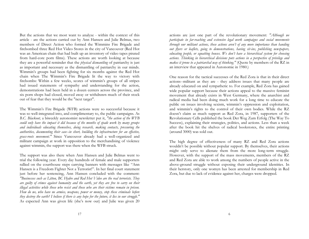But the actions that we most want to analyze - within the context of this article - are the actions carried out by Ann Hansen and Julie Belmas, two members of Direct Action who formed the Wimmins Fire Brigade and firebombed three Red Hot Video Stores in the city of Vancouver (Red Hot was an American chain that had built up an inventory of video tapes pirated from hard-core porn films). These actions are worth looking at because they are a powerful reminder that the *physical dismantling* of patriarchy is just as important and necessary as the dismantling of patriarchy in our minds. Wimmin's groups had been fighting for six months against the Red Hot chain when The Wimmin's Fire Brigade lit the way to victory with firebombs: Within a few weeks, scores of wimmin's groups of all stripes had issued statements of sympathy and understanding for the action, demonstrations had been held in a dozen centers across the province, and six porn shops had closed, moved away or withdrawn much of their stock out of fear that they would be the "next target".

The Wimmin's Fire Brigade (WFB) actions were so successful because it was so well-integrated into, and complimentary to, the public campaigns. As *B.C. Blackout,* a biweekly autonomist newsletter put it, *"the action of the WFB could only have the impact it did because of the months of spade work by many groups and individuals educating themselves, doing research, making contacts, pressuring the authorities, documenting their case--in short, building the infrastructure for an effective, grass-roots movement."* Since Vancouver already had a well-organized and militant campaign at work in opposition to the merchandising of violence against wimmin, the support was there when the WFB struck.

The support was also there when Ann Hansen and Julie Belmas went to trial the following year. Every day hundreds of female and male supporters rallied on the courthouse steps carrying banners with messages like "Ann Hansen is a Freedom Fighter Not a Terrorist!". In her final court statement just before her sentencing, Ann Hansen concluded with the comment: *"Businesses such as Litton, BC Hydro and Red Hot Video are the real terrorists. They are guilty of crimes against humanity and the earth, yet they are free to carry on their illegal activities while those who resist and those who are their victims remain in prison. How do we, who have no armies, weapons, power or money, stop these criminals before they destroy the earth? I believe if there is any hope for the future, it lies in our struggle."* As expected Ann was given life (she's now out) and Julie was given 20

actions are just one part of the revolutionary movement: *"Although we participate in far-reaching and extensive legal work campaigns and social movements through our militant actions, these actions aren't of any more importance than handing out flyers or leaflets, going to demonstrations, having sit-ins, publishing newspapers, educating people, or squatting houses. We don't have a hierarchical system for choosing actions. Thinking in hierarchical divisions puts actions in a perspective of privilege and makes it prone to a patriarchal way of thinking."* (Quote by members of the RZ in an interview that appeared in Autonomie in 1980.)

One reason for the tactical successes of the Red Zora is that in their direct actions--militant as they are - they address issues that many people are already educated on and sympathetic to. For example, Red Zora has gained wide popular support because their actions appeal to the massive feminist movement that already exists in West Germany, where the anarchist and radical media had been doing much work for a long time to educate the public on issues involving sexism, wimmin's oppression and exploitation, and wimmin's rights to the control of their own bodies. While the RZ doesn't claim as much support as Red Zora, in 1987, supporters of the Revolutionary Cells published the book Der Weg Zum Erfolg (The Way To Success), explaining their strategies, politics, and actions. Less than a week after the book hit the shelves of radical bookstores, the entire printing (around 3000) was sold out.

The high degree of effectiveness of many RZ and Red Zora actions wouldn't be possible without popular support. By themselves, their actions might only serve to alienate them from the more long-term struggle. However, with the support of the mass movements, members of the RZ and Red Zora are able to work among the numbers of people active in the above-ground struggle without exposing their underground identities. In their herstory, only one womyn has been arrested for membership in Red Zora, but due to lack of evidence against her, charges were dropped.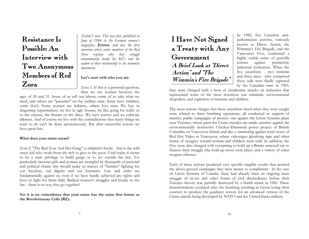Resistance Is Possible: An Interview with Two Anonymous Members of RedZora

*(Editor's note: This was first published in June of 1984 in the German women's magazine,* **Emma***, and was the first interview where active members of the Red Zora explain why they struggle autonomously inside the RZ's and the nature of their relationship to the wimmins movement)*

**Let's start with who you are.**

Zora 1: If this is a personal question, then we are women between the

ages of 20 and 51. Some of us sell our labour, some of us take what we need, and others are "parasites" on the welfare state. Some have children, some don't. Some women are lesbians, others love men. We buy in disgusting supermarkets, we live in ugly houses, we like going for walks or to the cinema, the theatre or the disco. We have parties and we cultivate idleness. And of course we live with the contradictions that many things we want to do can't be done spontaneously. But after successful actions we have great fun.

#### **What does your name mean?**

Zora 2: "The Red Zora And Her Gang" (a children's book) - that is the wild street kid who steals from the rich to give to the poor. Until today it seems to be a male privilege to build gangs or to act outside the law. Yet particularly because girls and women are strangled by thousands of personal and political chains this should make us masses of "bandits" fighting for our freedom, our dignity and our humanity. Law and order are fundamentally against us, even if we have hardly achieved any rights and have to fight for them daily. Radical women's struggles and loyalty to the law - there is no way they go together!

#### **Yet it is no coincidence that your name has the same first letters as the Revolutionary Cells (RZ).**

I Have Not Signed a Treaty with Any Government A Brief Look at "Direct Action" and "The Wimmin's Fire Brigade" In 1982, five Canadian antiauthoritarian activists, variously known as Direct Action, the Wimmin's Fire Brigade, and the Vancouver Five, conducted a highly visible series of guerrilla actions against patriarchal, industrial civilization. When the five anarchists - two wimmin and three men-- who comprised these cells were finally captured by the Canadian state in 1983,

they were charged with a host of clandestine attacks on industries that represented some of the most notorious war criminals, environmental despoilers, and exploiters of wimmin and children.

The most serious charges that these anarchists faced when they were caught were related to three bombing operations, all conducted in support of massive public campaigns of protest: one against the Litton Systems plant near Toronto, where parts for Cruise missiles are made; another against the environmentally destructive Cheekye-Dunsmuir power project of British Columbia on Vancouver Island; and also a smattering against retail stores of Red Hot Video in Vancouver, where videotapes glorifying rape and other forms of savagery toward woman and children were sold. In addition, the Five were also charged with conspiring to hold up a Brinks armored car to finance their struggle (the hold-up never took place) and a variety of other weapon offenses.

Each of these actions produced very specific tangible results that assisted the above-ground campaigns they were meant to compliment : In the case of Litton Systems of Canada, there had already been an ongoing mass struggle of sit-ins and other forms of civil disobedience before their Toronto factory was partially destroyed by a bomb attack in 1982. These demonstrations escalated after the bombing resulting in Litton losing their contract to produce the guidance system for an advanced version of the Cruise missile being developed by NATO and the United States military.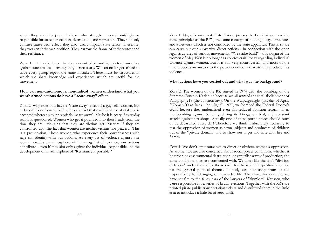when they start to present those who struggle uncompromisingly as responsible for state persecution, destruction, and repression. They not only confuse cause with effect, they also justify implicit state terror. Therefore, they weaken their own position. They narrow the frame of their protest and their resistance.

Zora 1: Our experience: to stay uncontrolled and to protect ourselves against state attacks, a strong unity is necessary. We can no longer afford to have every group repeat the same mistakes. There must be structures in which we share knowledge and experiences which are useful for the movement.

#### **How can non-autonomous, non-radical women understand what you want? Armed actions do have a "scare away" effect.**

Zora 2: Why doesn't it have a "scare away" effect if a guy sells women, but it does if his car burns? Behind it is the fact that traditional social violence is accepted whereas similar reprisals "scare away". Maybe it is scary if everyday reality is questioned. Women who get it pounded into their heads from the time they are little girls that they are victims get insecure if they are confronted with the fact that women are neither victims nor peaceful. This is a provocation. Those women who experience their powerlessness with rage can identify with our actions. As every act of violence against one woman creates an atmosphere of threat against all women, our actions contribute - even if they aim only against the individual responsible - to the development of an atmosphere of "Resistance is possible!"

Zora 1: No, of course not. Rote Zora expresses the fact that we have the same principles as the RZ's, the same concept of building illegal structures and a network which is not controlled by the state apparatus. This is so we can carry out our subversive direct actions - in connection with the open legal structures of various movements. "We strike back!" - this slogan of the women of May 1968 is no longer as controversial today regarding individual violence against women. But it is still very controversial, and most of the time taboo as an answer to the power conditions that steadily produce this violence.

#### **What actions have you carried out and what was the background?**

Zora 2: The women of the RZ started in 1974 with the bombing of the Supreme Court in Karlsruhe because we all wanted the total abolishment of Paragraph 218 (the abortion law). On the Walpurgisnight (last day of April, "Women Take Back The Night") 1977, we bombed the Federal Doctor's Guild because they undermined even this reduced abortion reform. Then the bombing against Schering during its Duogynon trial, and constant attacks against sex-shops. Actually one of these porno stores should burn or be devastated every day! Therefore we think it absolutely necessary to tear the oppression of women as sexual objects and producers of children out of the "private domain" and to show our anger and hate with fire and flames.

Zora 1: We don't limit ourselves to direct or obvious women's oppression. As women we are also concerned about social power conditions, whether it be urban or environmental destruction, or capitalist ways of production; the same conditions men are confronted with. We don't like the left's "division of labour" under the motto: the women for the women's question, the men for the general political themes. Nobody can take away from us the responsibility for changing our everyday life. Therefore, for example, we have set fire to the fancy cars of the lawyers of "slumlord" Kaussen, who were responsible for a series of brutal evictions. Together with the RZ's we printed pirate public transportation tickets and distributed them in the Rulo area to introduce a little bit of zero-tariff.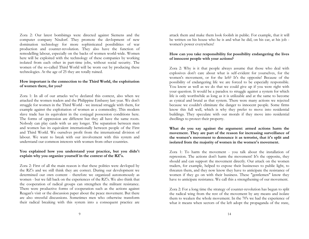Zora 2: Our latest bombimgs were directed against Siemens and the computer company Nixdorf. They promote the devlopment of new domination technology for more sophisticated possibilities of war production and counter-revolution. They also have the function of remodelling labour, especially on the backs of women world-wide. Women here will be exploited with the technology of these companies by working isolated from each other in part-time jobs, without social security. The women of the so-called Third World will be worn out by producing these technologies. At the age of 25 they are totally ruined.

#### **How important is the connection to the Third World, the exploitation of women there, for you?**

Zora 1: In all of our attacks we've declared this context, also when we attacked the women traders and the Philippine Embassy last year. We don't struggle for women in the Third World - we instead struggle with them, for example against the exploitation of women as a commodity. This modern slave trade has its equivalent in the conjugal possession conditions here. The forms of oppression are different but they all have the same roots. Nobody can play cards with us any longer. The separation between men and women has its equivalent internationally between people of the First and Third World. We ourselves profit from the international division of labour. We want to break with our involvement with this system and understand our common interests with women from other countries.

#### **You explained how you understand your practice, but you didn't explain why you organize yourself in the context of the RZ's.**

Zora 2: First of all the main reason is that these politics were devloped by the RZ's and we still think they are correct. During our development we determined our own content - therefore we organized autonomously as women - but we fall back on the experiences of the RZ's. We also think that the cooperation of radical groups can strengthen the militant resistance. There were productive forms of cooperation such as the actions against Reagan's visit or the discussion paper about the peace movement. But there are also stressful discussions. Sometimes men who otherwise transform their radical breaking with this system into a consequent practice are

attack them and make them look foolish in public. For example, that it will be written on his house who he is and what he did, on his car, at his job women's power everywhere!

#### **How can you take responsibility for possibility endangering the lives of innocent people with your actions?**

Zora 2: Why is it that people always assume that those who deal with explosives don't care about what is self-evident for yourselves, for the women's movement, or for the left? It's the opposite! Because of the possibility of endangering life we are forced to be especially responsible. You know as well as we do that we could give up if you were right with your question. It would be a paradox to struggle against a system for which life is only worthwhile as long as it is utilizable and at the same to become as cynical and brutal as that system. There were many actions we rejected because we couldn't eliminate the danger to innocent people. Some firms know this full well, which is why they prefer to move into residential buildings. They speculate with our morals if they move into residential dwellings to protect their property.

**What do you say against the argument: armed actions harm the movement. They are part of the reason for increasing surveillance of the women's movement to denounce it as terrorist, that it's split and isolated from the majority of women in the women's movement.**

Zora 1: To harm the movement - you talk about the installation of repression. The actions don't harm the movement! It's the opposite, they should and can support the movement directly. Our attack on the women traders, for example, helped to expose their businesses to public light, to threaten them, and they now know they have to anticipate the resistance of women if they go on with their business. These "gentlemen" know they have to anticipate resistance. We call this a strengthening of our movement.

Zora 2: For a long time the strategy of counter-revolution has begun to split the radical wing from the rest of the movement by any means and isolate them to weaken the whole movement. In the 70's we had the experience of what it means when sectors of the left adopt the propaganda of the state,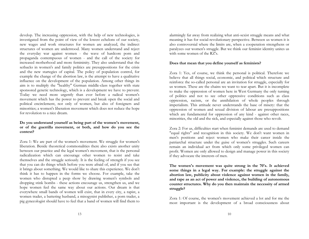develop. The increasing oppression, with the help of new technologies, is investigated from the point of view of the lowest echelons of our society, new wages and work structures for women are analyzed, the indirect structures of women are understood. Many women understand and reject the everyday war against women - the wave of hardcore porn and propaganda contempuous of women - and the call of the society for increased motherhood and more femininity. They also understand that the setbacks in women's and family politics are presuppositions for the crisis and the new startegies of capital. The policy of population control, for example the change of the abortion law, is the attempt to have a qualitative influence on the development of the population. Among other things its aim is to mulitply the "healthy" German middle-class together with state sponsored genetic technology, which is a development we have to prevent. Today we need more urgently than ever before a radical women's movement which has the power to prevent and break open the social and political encirclement, not only of women, but also of foreigners and minorities; a women's liberation movement which does not reduce the hope for revolution to a nice dream.

#### **Do you understand yourself as being part of the women's movement, or of the guerrilla movement, or both, and how do you see the context?**

Zora 1: We are part of the women's movement. We struggle for women's liberation. Beside theoretical commonalities there also exists another unity between our practice and the legal women's movement, that is the personal radicalization which can encourage other women to resist and take themselves and the struggle seriously. It is the feeling of strength if you see that you can do things which before you were afraid of, and if you see that it brings about something. We would like to share this experience. We don't think it has to happen in the forms we choose. For example, take the women who disrupted a peep show by drawing women's symbols and dropping stink bombs - these actions encourage us, strengthen us, and we hope women feel the same way about our actions. Our dream is that everywhere small bands of women will exist, that in every city, a rapist, a women trader, a battering husband, a misogynist publisher, a porn trader, a pig gynecologist should have to feel that a band of women will find them to

alarmingly far away from realizing what anti-sexist struggle means and what meaning it has for social-revolutionary perspective. Between us women it is also controversial where the limits are, when a cooperation strengthens or paralyzes our women's struggle. But we think our feminist identity unites us with some women of the RZ's.

#### **Does that mean that you define yourself as feminists?**

Zora 1: Yes, of course, we think the personal is political. Therefore we believe that all things social, economic, and political which structure and reinforce the so-called personal are an invitation for struggle, especially for us women. These are the chains we want to tear apart. But it is incomplete to make the oppression of women here in West Germany the only turning of politics and not to see other oppressive conditions such as class oppression, racism, or the annihilation of whole peoples through imperialism. This attitude never understands the base of misery: that the oppression of women and sexual division of labour are presuppositions which are fundamental for oppression of any kind - against other races, minorities, the old and the sick, and especially against those who revolt.

Zora 2: For us, difficulties start when feminist demands are used to demand "equal rights" and recognition in this society. We don't want women in men's positions and reject women who make their career inside the patriarchal structure under the guise of women's struggles. Such careers remain an individual act from which only some privileged women can profit. Women are only allowed to design and manage power in this society if they advocate the interests of men.

**The women's movement was quite strong in the 70's. It achieved some things in a legal way. For example: the struggle against the abortion law, publicity about violence against women in the family, and rape as an act of power and violence, the building of autonomous counter structures. Why do you then maintain the necessity of armed struggle?**

Zora 1: Of course, the women's movement achieved a lot and for me the most important is the development of a broad consciousness about